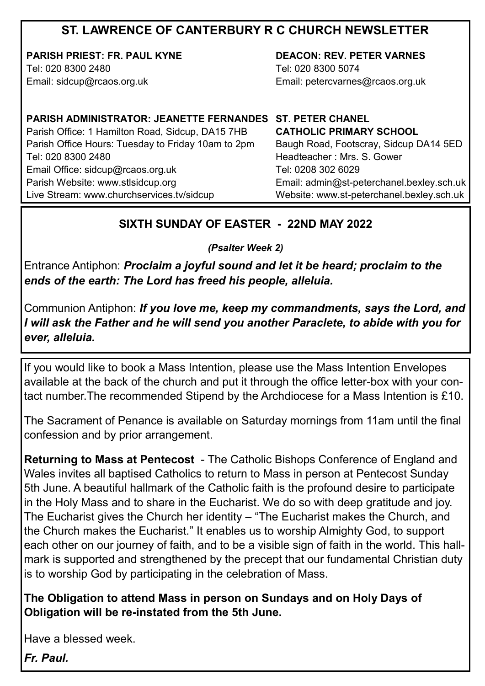### **ST. LAWRENCE OF CANTERBURY R C CHURCH NEWSLETTER**

**PARISH PRIEST: FR. PAUL KYNE** Tel: 020 8300 2480

Email: sidcup@rcaos.org.uk

**DEACON: REV. PETER VARNES**  Tel: 020 8300 5074 Email: petercvarnes@rcaos.org.uk

# **PARISH ADMINISTRATOR: JEANETTE FERNANDES ST. PETER CHANEL**

Parish Office: 1 Hamilton Road, Sidcup, DA15 7HB Parish Office Hours: Tuesday to Friday 10am to 2pm Tel: 020 8300 2480 Email Office: sidcup@rcaos.org.uk Parish Website: www.stlsidcup.org Live Stream: www.churchservices.tv/sidcup

**CATHOLIC PRIMARY SCHOOL**  Baugh Road, Footscray, Sidcup DA14 5ED Headteacher : Mrs. S. Gower Tel: 0208 302 6029 Email: admin@st-peterchanel.bexley.sch.uk Website: www.st-peterchanel.bexley.sch.uk

#### **SIXTH SUNDAY OF EASTER - 22ND MAY 2022**

*(Psalter Week 2)*

Entrance Antiphon: *Proclaim a joyful sound and let it be heard; proclaim to the ends of the earth: The Lord has freed his people, alleluia.*

Communion Antiphon: *If you love me, keep my commandments, says the Lord, and I will ask the Father and he will send you another Paraclete, to abide with you for ever, alleluia.*

If you would like to book a Mass Intention, please use the Mass Intention Envelopes available at the back of the church and put it through the office letter-box with your contact number.The recommended Stipend by the Archdiocese for a Mass Intention is £10.

The Sacrament of Penance is available on Saturday mornings from 11am until the final confession and by prior arrangement.

**Returning to Mass at Pentecost** - The Catholic Bishops Conference of England and Wales invites all baptised Catholics to return to Mass in person at Pentecost Sunday 5th June. A beautiful hallmark of the Catholic faith is the profound desire to participate in the Holy Mass and to share in the Eucharist. We do so with deep gratitude and joy. The Eucharist gives the Church her identity – "The Eucharist makes the Church, and the Church makes the Eucharist." It enables us to worship Almighty God, to support each other on our journey of faith, and to be a visible sign of faith in the world. This hallmark is supported and strengthened by the precept that our fundamental Christian duty is to worship God by participating in the celebration of Mass.

**The Obligation to attend Mass in person on Sundays and on Holy Days of Obligation will be re-instated from the 5th June.** 

Have a blessed week.

*Fr. Paul.*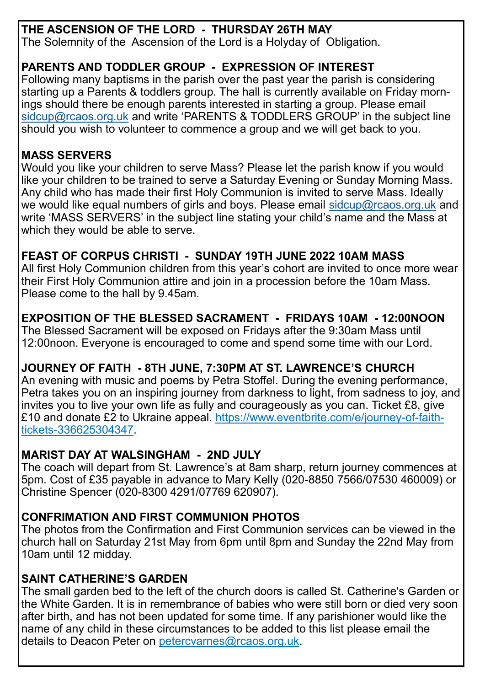### **THE ASCENSION OF THE LORD - THURSDAY 26TH MAY**

The Solemnity of the Ascension of the Lord is a Holyday of Obligation.

### **PARENTS AND TODDLER GROUP - EXPRESSION OF INTEREST**

Following many baptisms in the parish over the past year the parish is considering starting up a Parents & toddlers group. The hall is currently available on Friday mornings should there be enough parents interested in starting a group. Please email [sidcup@rcaos.org.uk](mailto:sidcup@rcaos.org.uk) and write 'PARENTS & TODDLERS GROUP' in the subject line should you wish to volunteer to commence a group and we will get back to you.

### **MASS SERVERS**

Would you like your children to serve Mass? Please let the parish know if you would like your children to be trained to serve a Saturday Evening or Sunday Morning Mass. Any child who has made their first Holy Communion is invited to serve Mass. Ideally we would like equal numbers of girls and boys. Please email [sidcup@rcaos.org.uk](mailto:sidcup@rcaos.org.uk) and write 'MASS SERVERS' in the subject line stating your child's name and the Mass at which they would be able to serve.

### **FEAST OF CORPUS CHRISTI - SUNDAY 19TH JUNE 2022 10AM MASS**

All first Holy Communion children from this year's cohort are invited to once more wear their First Holy Communion attire and join in a procession before the 10am Mass. Please come to the hall by 9.45am.

### **EXPOSITION OF THE BLESSED SACRAMENT - FRIDAYS 10AM - 12:00NOON**

The Blessed Sacrament will be exposed on Fridays after the 9:30am Mass until 12:00noon. Everyone is encouraged to come and spend some time with our Lord.

# **JOURNEY OF FAITH - 8TH JUNE, 7:30PM AT ST. LAWRENCE'S CHURCH**

An evening with music and poems by Petra Stoffel. During the evening performance, Petra takes you on an inspiring journey from darkness to light, from sadness to joy, and invites you to live your own life as fully and courageously as you can. Ticket £8, give £10 and donate £2 to Ukraine appeal. https://www.eventbrite.com/e/journey-of-faithtickets-336625304347.

## **MARIST DAY AT WALSINGHAM - 2ND JULY**

The coach will depart from St. Lawrence's at 8am sharp, return journey commences at 5pm. Cost of £35 payable in advance to Mary Kelly (020-8850 7566/07530 460009) or Christine Spencer (020-8300 4291/07769 620907).

## **CONFRIMATION AND FIRST COMMUNION PHOTOS**

The photos from the Confirmation and First Communion services can be viewed in the church hall on Saturday 21st May from 6pm until 8pm and Sunday the 22nd May from 10am until 12 midday.

## **SAINT CATHERINE'S GARDEN**

The small garden bed to the left of the church doors is called St. Catherine's Garden or the White Garden. It is in remembrance of babies who were still born or died very soon after birth, and has not been updated for some time. If any parishioner would like the name of any child in these circumstances to be added to this list please email the details to Deacon Peter on petercvarnes@rcaos.org.uk.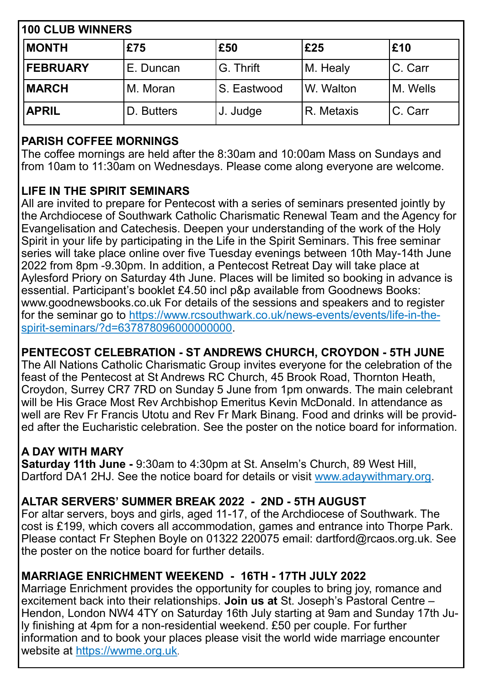| <b>100 CLUB WINNERS</b> |            |                   |            |          |  |
|-------------------------|------------|-------------------|------------|----------|--|
| <b>MONTH</b>            | £75        | £50               | £25        | £10      |  |
| <b>FEBRUARY</b>         | E. Duncan  | <b>IG. Thrift</b> | M. Healy   | C. Carr  |  |
| <b>MARCH</b>            | M. Moran   | S. Eastwood       | W. Walton  | M. Wells |  |
| <b>APRIL</b>            | D. Butters | J. Judge          | R. Metaxis | C. Carr  |  |

### **PARISH COFFEE MORNINGS**

The coffee mornings are held after the 8:30am and 10:00am Mass on Sundays and from 10am to 11:30am on Wednesdays. Please come along everyone are welcome.

### **LIFE IN THE SPIRIT SEMINARS**

All are invited to prepare for Pentecost with a series of seminars presented jointly by the Archdiocese of Southwark Catholic Charismatic Renewal Team and the Agency for Evangelisation and Catechesis. Deepen your understanding of the work of the Holy Spirit in your life by participating in the Life in the Spirit Seminars. This free seminar series will take place online over five Tuesday evenings between 10th May-14th June 2022 from 8pm -9.30pm. In addition, a Pentecost Retreat Day will take place at Aylesford Priory on Saturday 4th June. Places will be limited so booking in advance is essential. Participant's booklet £4.50 incl p&p available from Goodnews Books: www.goodnewsbooks.co.uk For details of the sessions and speakers and to register for the seminar go to https://www.rcsouthwark.co.uk/news-events/events/life-in-thespirit-seminars/?d=637878096000000000.

### **PENTECOST CELEBRATION - ST ANDREWS CHURCH, CROYDON - 5TH JUNE**

The All Nations Catholic Charismatic Group invites everyone for the celebration of the feast of the Pentecost at St Andrews RC Church, 45 Brook Road, Thornton Heath, Croydon, Surrey CR7 7RD on Sunday 5 June from 1pm onwards. The main celebrant will be His Grace Most Rev Archbishop Emeritus Kevin McDonald. In attendance as well are Rev Fr Francis Utotu and Rev Fr Mark Binang. Food and drinks will be provided after the Eucharistic celebration. See the poster on the notice board for information.

### **A DAY WITH MARY**

**Saturday 11th June -** 9:30am to 4:30pm at St. Anselm's Church, [89 West Hill,](https://www.bing.com/local?lid=YN1018x220192214&id=YN1018x220192214&q=Saint+Anselms+Catholic+Church&name=Saint+Anselms+Catholic+Church&cp=51.44670486450195%7e0.20554320514202118&ppois=51.44670486450195_0.20554320514202118_Saint+Anselms+Catholic+Church)  [Dartford DA1 2HJ.](https://www.bing.com/local?lid=YN1018x220192214&id=YN1018x220192214&q=Saint+Anselms+Catholic+Church&name=Saint+Anselms+Catholic+Church&cp=51.44670486450195%7e0.20554320514202118&ppois=51.44670486450195_0.20554320514202118_Saint+Anselms+Catholic+Church) See the notice board for details or visit www.adaywithmary.org.

### **ALTAR SERVERS' SUMMER BREAK 2022 - 2ND - 5TH AUGUST**

For altar servers, boys and girls, aged 11-17, of the Archdiocese of Southwark. The cost is £199, which covers all accommodation, games and entrance into Thorpe Park. Please contact Fr Stephen Boyle on 01322 220075 email: dartford@rcaos.org.uk. See the poster on the notice board for further details.

### **MARRIAGE ENRICHMENT WEEKEND - 16TH - 17TH JULY 2022**

Marriage Enrichment provides the opportunity for couples to bring joy, romance and excitement back into their relationships. **Join us at** St. Joseph's Pastoral Centre – Hendon, London NW4 4TY on Saturday 16th July starting at 9am and Sunday 17th July finishing at 4pm for a non-residential weekend. £50 per couple. For further information and to book your places please visit the world wide marriage encounter website at https://wwme.org.uk.